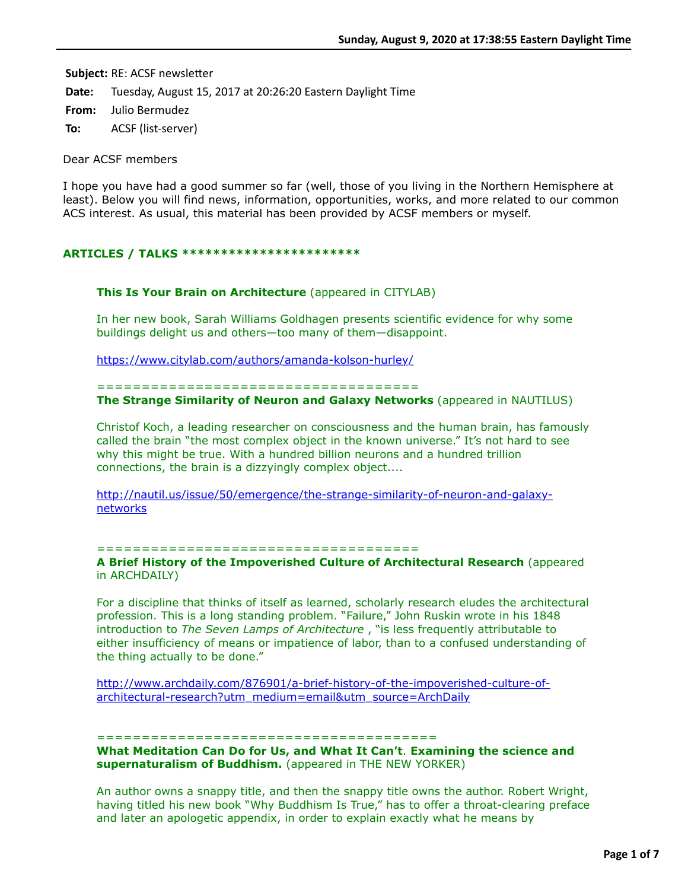**Subject: RE: ACSF newsletter** 

**Date:** Tuesday, August 15, 2017 at 20:26:20 Eastern Daylight Time

**From:** Julio Bermudez

**To:** ACSF (list-server)

Dear ACSF members

I hope you have had a good summer so far (well, those of you living in the Northern Hemisphere at least). Below you will find news, information, opportunities, works, and more related to our common ACS interest. As usual, this material has been provided by ACSF members or myself.

# **ARTICLES / TALKS \*\*\*\*\*\*\*\*\*\*\*\*\*\*\*\*\*\*\*\*\*\*\***

## **This Is Your Brain on Architecture** (appeared in CITYLAB)

In her new book, Sarah Williams Goldhagen presents scientific evidence for why some buildings delight us and others—too many of them—disappoint.

<https://www.citylab.com/authors/amanda-kolson-hurley/>

#### ====================================

**The Strange Similarity of Neuron and Galaxy Networks** (appeared in NAUTILUS)

Christof Koch, a leading researcher on consciousness and the human brain, has famously called the brain "the most complex object in the known universe." It's not hard to see why this might be true. With a hundred billion neurons and a hundred trillion connections, the brain is a dizzyingly complex object....

[http://nautil.us/issue/50/emergence/the-strange-similarity-of-neuron-and-galaxy](http://nautil.us/issue/50/emergence/the-strange-similarity-of-neuron-and-galaxy-networks)networks

#### ====================================

**A Brief History of the Impoverished Culture of Architectural Research** (appeared in ARCHDAILY)

For a discipline that thinks of itself as learned, scholarly research eludes the architectural profession. This is a long standing problem. "Failure," John Ruskin wrote in his 1848 introduction to *The Seven Lamps of Architecture* , "is less frequently attributable to either insufficiency of means or impatience of labor, than to a confused understanding of the thing actually to be done."

[http://www.archdaily.com/876901/a-brief-history-of-the-impoverished-culture-of](http://www.archdaily.com/876901/a-brief-history-of-the-impoverished-culture-of-architectural-research?utm_medium=email&utm_source=ArchDaily)architectural-research?utm\_medium=email&utm\_source=ArchDaily

#### ======================================

**What Meditation Can Do for Us, and What It Can't**. **Examining the science and supernaturalism of Buddhism.** (appeared in THE NEW YORKER)

An author owns a snappy title, and then the snappy title owns the author. Robert Wright, having titled his new book "Why Buddhism Is True," has to offer a throat-clearing preface and later an apologetic appendix, in order to explain exactly what he means by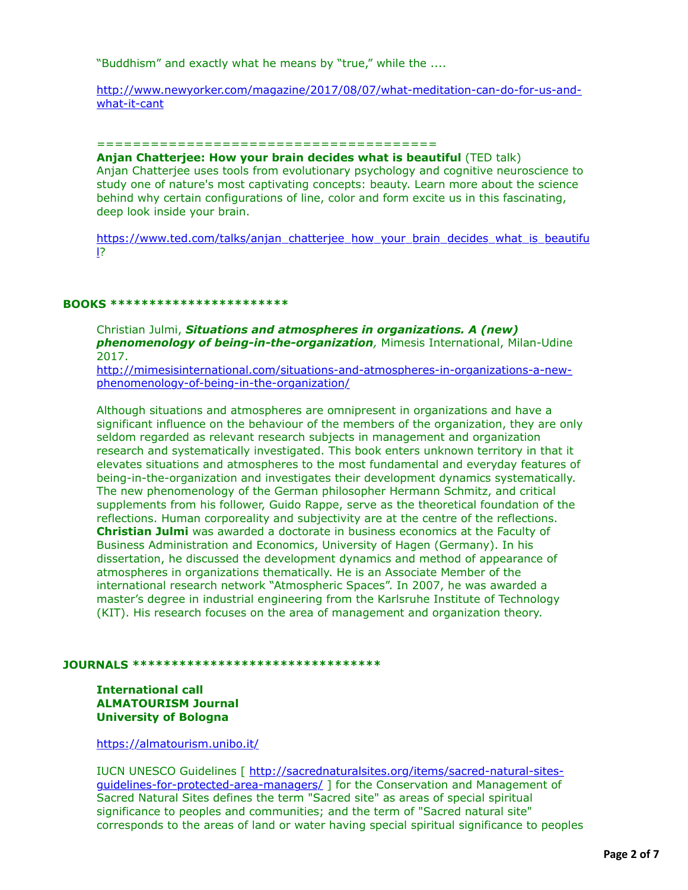"Buddhism" and exactly what he means by "true," while the ....

[http://www.newyorker.com/magazine/2017/08/07/what-meditation-can-do-for-us-and](http://www.newyorker.com/magazine/2017/08/07/what-meditation-can-do-for-us-and-what-it-cant)what-it-cant

## ======================================

**Anjan Chatterjee: How your brain decides what is beautiful** (TED talk) Anjan Chatterjee uses tools from evolutionary psychology and cognitive neuroscience to study one of nature's most captivating concepts: beauty. Learn more about the science behind why certain configurations of line, color and form excite us in this fascinating, deep look inside your brain.

[https://www.ted.com/talks/anjan\\_chatterjee\\_how\\_your\\_brain\\_decides\\_what\\_is\\_beautifu](https://www.ted.com/talks/anjan_chatterjee_how_your_brain_decides_what_is_beautiful) l?

#### **BOOKS \*\*\*\*\*\*\*\*\*\*\*\*\*\*\*\*\*\*\*\*\*\*\***

Christian Julmi, *Situations and atmospheres in organizations. A (new) phenomenology of being-in-the-organization,* Mimesis International, Milan-Udine 2017.

[http://mimesisinternational.com/situations-and-atmospheres-in-organizations-a-new](http://mimesisinternational.com/situations-and-atmospheres-in-organizations-a-new-phenomenology-of-being-in-the-organization/)phenomenology-of-being-in-the-organization/

Although situations and atmospheres are omnipresent in organizations and have a significant influence on the behaviour of the members of the organization, they are only seldom regarded as relevant research subjects in management and organization research and systematically investigated. This book enters unknown territory in that it elevates situations and atmospheres to the most fundamental and everyday features of being-in-the-organization and investigates their development dynamics systematically. The new phenomenology of the German philosopher Hermann Schmitz, and critical supplements from his follower, Guido Rappe, serve as the theoretical foundation of the reflections. Human corporeality and subjectivity are at the centre of the reflections. **Christian Julmi** was awarded a doctorate in business economics at the Faculty of Business Administration and Economics, University of Hagen (Germany). In his dissertation, he discussed the development dynamics and method of appearance of atmospheres in organizations thematically. He is an Associate Member of the international research network "Atmospheric Spaces". In 2007, he was awarded a master's degree in industrial engineering from the Karlsruhe Institute of Technology (KIT). His research focuses on the area of management and organization theory.

## **JOURNALS \*\*\*\*\*\*\*\*\*\*\*\*\*\*\*\*\*\*\*\*\*\*\*\*\*\*\*\*\*\*\*\***

## **International call ALMATOURISM Journal University of Bologna**

<https://almatourism.unibo.it/>

[IUCN UNESCO Guidelines \[ http://sacrednaturalsites.org/items/sacred-natural-sites](http://sacrednaturalsites.org/items/sacred-natural-sites-guidelines-for-protected-area-managers/)guidelines-for-protected-area-managers/ ] for the Conservation and Management of Sacred Natural Sites defines the term "Sacred site" as areas of special spiritual significance to peoples and communities; and the term of "Sacred natural site" corresponds to the areas of land or water having special spiritual significance to peoples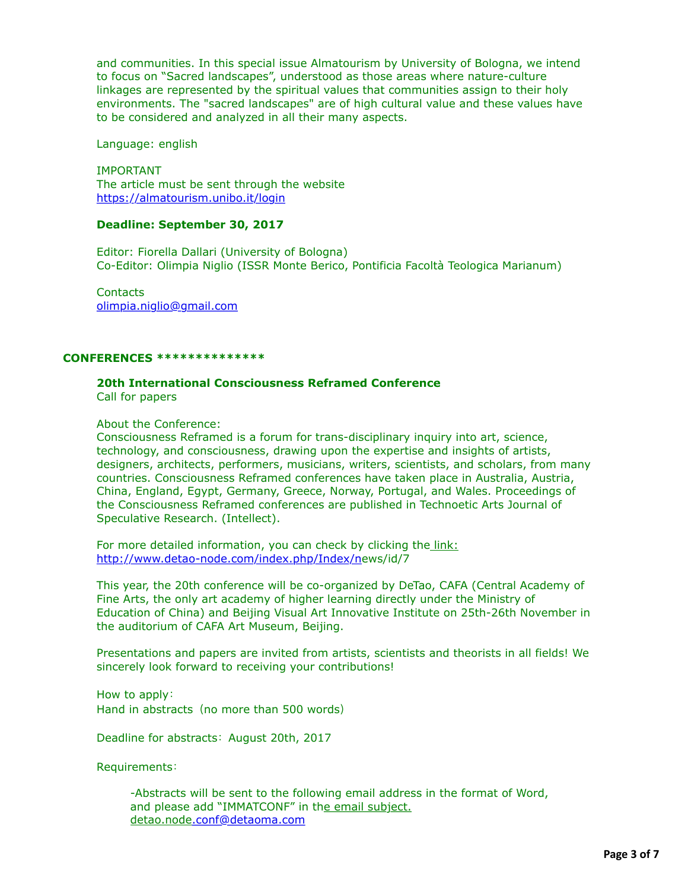and communities. In this special issue Almatourism by University of Bologna, we intend to focus on "Sacred landscapes", understood as those areas where nature-culture linkages are represented by the spiritual values that communities assign to their holy environments. The "sacred landscapes" are of high cultural value and these values have to be considered and analyzed in all their many aspects.

Language: english

IMPORTANT The article must be sent through the website <https://almatourism.unibo.it/login>

# **Deadline: September 30, 2017**

Editor: Fiorella Dallari (University of Bologna) Co-Editor: Olimpia Niglio (ISSR Monte Berico, Pontificia Facoltà Teologica Marianum)

**Contacts** [olimpia.niglio@gmail.com](applewebdata://CE7F59FE-E8C3-4BBA-B4D1-942B207A31A4/olimpia.niglio@gmail.com)

## **CONFERENCES \*\*\*\*\*\*\*\*\*\*\*\*\*\***

# **20th International Consciousness Reframed Conference**

Call for papers

About the Conference:

Consciousness Reframed is a forum for trans-disciplinary inquiry into art, science, technology, and consciousness, drawing upon the expertise and insights of artists, designers, architects, performers, musicians, writers, scientists, and scholars, from many countries. Consciousness Reframed conferences have taken place in Australia, Austria, China, England, Egypt, Germany, Greece, Norway, Portugal, and Wales. Proceedings of the Consciousness Reframed conferences are published in Technoetic Arts Journal of Speculative Research. (Intellect).

For more detailed information, you can check by clicking the link: <http://www.detao-node.com/index.php/Index/n>ews/id/7

This year, the 20th conference will be co-organized by DeTao, CAFA (Central Academy of Fine Arts, the only art academy of higher learning directly under the Ministry of Education of China) and Beijing Visual Art Innovative Institute on 25th-26th November in the auditorium of CAFA Art Museum, Beijing.

Presentations and papers are invited from artists, scientists and theorists in all fields! We sincerely look forward to receiving your contributions!

How to apply: Hand in abstracts (no more than 500 words)

Deadline for abstracts: August 20th, 2017

Requirements:

-Abstracts will be sent to the following email address in the format of Word, and please add "IMMATCONF" in the email subject. detao.node[.conf@detaoma.com](applewebdata://CE7F59FE-E8C3-4BBA-B4D1-942B207A31A4/.conf@detaoma.com)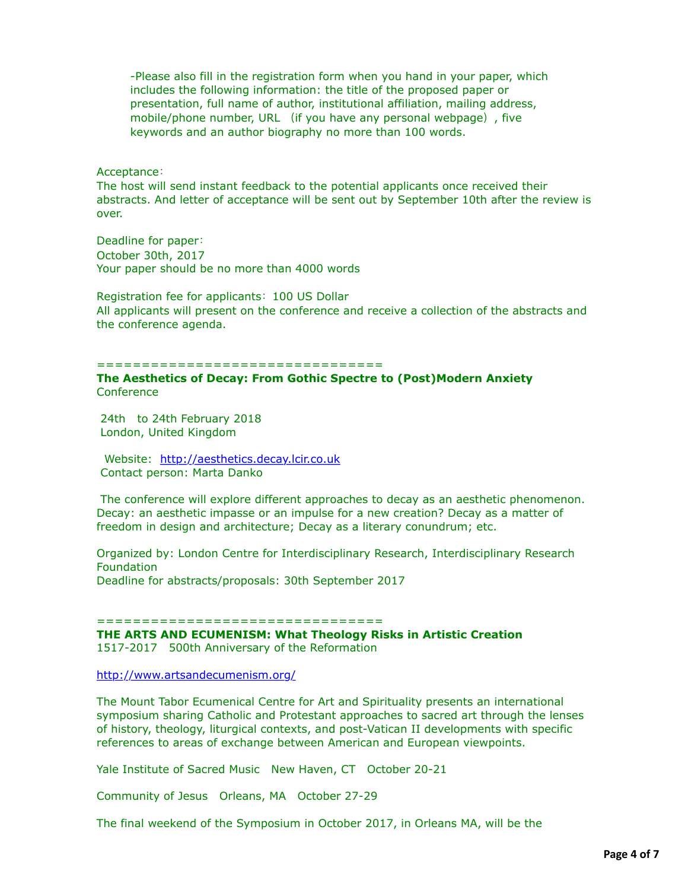-Please also fill in the registration form when you hand in your paper, which includes the following information: the title of the proposed paper or presentation, full name of author, institutional affiliation, mailing address, mobile/phone number, URL (if you have any personal webpage), five keywords and an author biography no more than 100 words.

## Acceptance:

The host will send instant feedback to the potential applicants once received their abstracts. And letter of acceptance will be sent out by September 10th after the review is over.

Deadline for paper: October 30th, 2017 Your paper should be no more than 4000 words

Registration fee for applicants: 100 US Dollar All applicants will present on the conference and receive a collection of the abstracts and the conference agenda.

#### ================================

## **The Aesthetics of Decay: From Gothic Spectre to (Post)Modern Anxiety Conference**

 24th to 24th February 2018 London, United Kingdom

 Website: [http://aesthetics.decay.lcir.co.uk](http://aesthetics.decay.lcir.co.uk/)  Contact person: Marta Danko

 The conference will explore different approaches to decay as an aesthetic phenomenon. Decay: an aesthetic impasse or an impulse for a new creation? Decay as a matter of freedom in design and architecture; Decay as a literary conundrum; etc.

Organized by: London Centre for Interdisciplinary Research, Interdisciplinary Research Foundation Deadline for abstracts/proposals: 30th September 2017

#### =====================================

**THE ARTS AND ECUMENISM: What Theology Risks in Artistic Creation** 1517-2017 500th Anniversary of the Reformation

<http://www.artsandecumenism.org/>

The Mount Tabor Ecumenical Centre for Art and Spirituality presents an international symposium sharing Catholic and Protestant approaches to sacred art through the lenses of history, theology, liturgical contexts, and post-Vatican II developments with specific references to areas of exchange between American and European viewpoints.

Yale Institute of Sacred Music New Haven, CT October 20-21

Community of Jesus Orleans, MA October 27-29

The final weekend of the Symposium in October 2017, in Orleans MA, will be the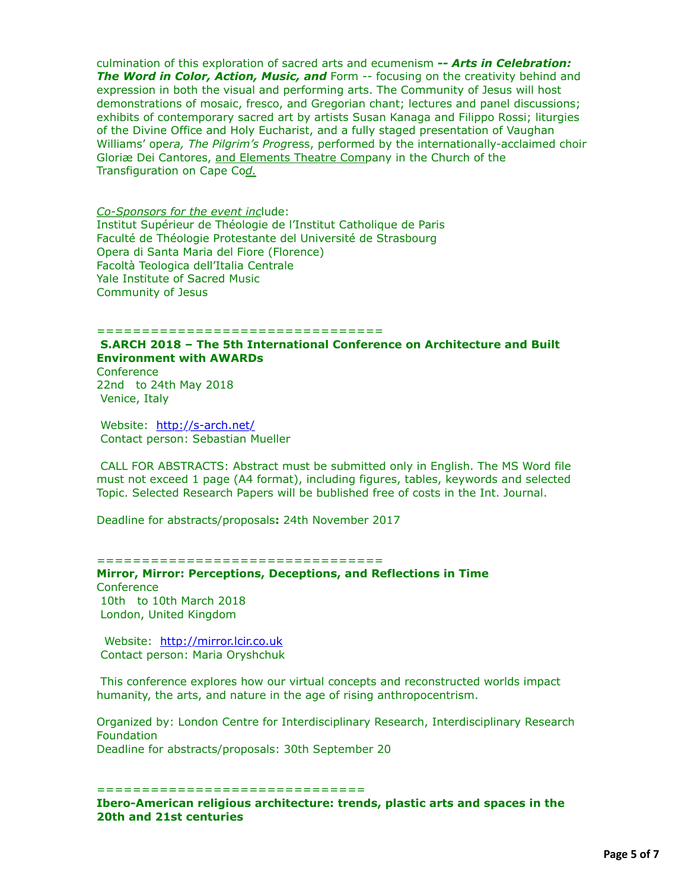culmination of this exploration of sacred arts and ecumenism *-- Arts in Celebration:* **The Word in Color, Action, Music, and** Form -- focusing on the creativity behind and expression in both the visual and performing arts. The Community of Jesus will host demonstrations of mosaic, fresco, and Gregorian chant; lectures and panel discussions; exhibits of contemporary sacred art by artists Susan Kanaga and Filippo Rossi; liturgies of the Divine Office and Holy Eucharist, and a fully staged presentation of Vaughan Williams' ope*ra, The Pilgrim's Prog*ress, performed by the internationally-acclaimed choir Gloriæ Dei Cantores, and Elements Theatre Company in the Church of the Transfiguration on Cape Co*d.*

*Co-Sponsors for the event inc*lude: Institut Supérieur de Théologie de l'Institut Catholique de Paris Faculté de Théologie Protestante del Université de Strasbourg Opera di Santa Maria del Fiore (Florence) Facoltà Teologica dell'Italia Centrale Yale Institute of Sacred Music Community of Jesus

#### ================================

# **S.ARCH 2018 – The 5th International Conference on Architecture and Built Environment with AWARDs**

**Conference** 22nd to 24th May 2018 Venice, Italy

Website: http://s-arch.net/ Contact person: Sebastian Mueller

 CALL FOR ABSTRACTS: Abstract must be submitted only in English. The MS Word file must not exceed 1 page (A4 format), including figures, tables, keywords and selected Topic. Selected Research Papers will be bublished free of costs in the Int. Journal.

Deadline for abstracts/proposals**:** 24th November 2017

#### ================================

# **Mirror, Mirror: Perceptions, Deceptions, and Reflections in Time Conference**  10th to 10th March 2018 London, United Kingdom

Website: http://mirror.lcir.co.uk Contact person: Maria Oryshchuk

 This conference explores how our virtual concepts and reconstructed worlds impact humanity, the arts, and nature in the age of rising anthropocentrism.

Organized by: London Centre for Interdisciplinary Research, Interdisciplinary Research Foundation Deadline for abstracts/proposals: 30th September 20

#### ====================================

**Ibero-American religious architecture: trends, plastic arts and spaces in the 20th and 21st centuries**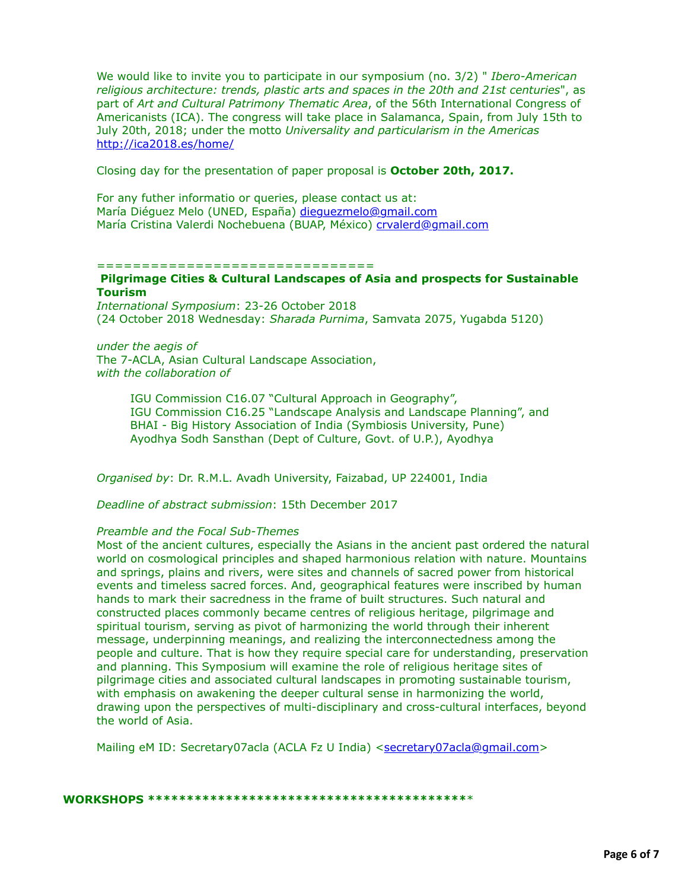We would like to invite you to participate in our symposium (no. 3/2) " *Ibero-American religious architecture: trends, plastic arts and spaces in the 20th and 21st centuries*", as part of *Art and Cultural Patrimony Thematic Area*, of the 56th International Congress of Americanists (ICA). The congress will take place in Salamanca, Spain, from July 15th to July 20th, 2018; under the motto *Universality and particularism in the Americas* <http://ica2018.es/home/>

Closing day for the presentation of paper proposal is **October 20th, 2017.**

For any futher informatio or queries, please contact us at: María Diéguez Melo (UNED, España) [dieguezmelo@gmail.com](applewebdata://CE7F59FE-E8C3-4BBA-B4D1-942B207A31A4/dieguezmelo@gmail.com) María Cristina Valerdi Nochebuena (BUAP, México) [crvalerd@gmail.com](applewebdata://CE7F59FE-E8C3-4BBA-B4D1-942B207A31A4/crvalerd@gmail.com)

#### ================================

## **Pilgrimage Cities & Cultural Landscapes of Asia and prospects for Sustainable Tourism**

*International Symposium*: 23-26 October 2018 (24 October 2018 Wednesday: *Sharada Purnima*, Samvata 2075, Yugabda 5120)

## *under the aegis of* The 7-ACLA, Asian Cultural Landscape Association, *with the collaboration of*

IGU Commission C16.07 "Cultural Approach in Geography", IGU Commission C16.25 "Landscape Analysis and Landscape Planning", and BHAI - Big History Association of India (Symbiosis University, Pune) Ayodhya Sodh Sansthan (Dept of Culture, Govt. of U.P.), Ayodhya

*Organised by*: Dr. R.M.L. Avadh University, Faizabad, UP 224001, India

*Deadline of abstract submission*: 15th December 2017

# *Preamble and the Focal Sub-Themes*

Most of the ancient cultures, especially the Asians in the ancient past ordered the natural world on cosmological principles and shaped harmonious relation with nature. Mountains and springs, plains and rivers, were sites and channels of sacred power from historical events and timeless sacred forces. And, geographical features were inscribed by human hands to mark their sacredness in the frame of built structures. Such natural and constructed places commonly became centres of religious heritage, pilgrimage and spiritual tourism, serving as pivot of harmonizing the world through their inherent message, underpinning meanings, and realizing the interconnectedness among the people and culture. That is how they require special care for understanding, preservation and planning. This Symposium will examine the role of religious heritage sites of pilgrimage cities and associated cultural landscapes in promoting sustainable tourism, with emphasis on awakening the deeper cultural sense in harmonizing the world, drawing upon the perspectives of multi-disciplinary and cross-cultural interfaces, beyond the world of Asia.

Mailing eM ID: Secretary07acla (ACLA Fz U India) <[secretary07acla@gmail.com>](applewebdata://CE7F59FE-E8C3-4BBA-B4D1-942B207A31A4/secretary07acla@gmail.com)

#### **WORKSHOPS \*\*\*\*\*\*\*\*\*\*\*\*\*\*\*\*\*\*\*\*\*\*\*\*\*\*\*\*\*\*\*\*\*\*\*\*\*\*\*\*\***\*